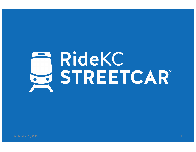# **RideKC** STREETCAR"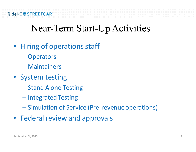# Near-Term Start-Up Activities

- Hiring of operations staff
	- Operators
	- Maintainers
- System testing
	- Stand Alone Testing
	- Integrated Testing
	- Simulation of Service (Pre-revenue operations)
- Federal review and approvals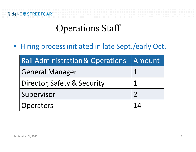

# Operations Staff

• Hiring process initiated in late Sept./early Oct.

| <b>Rail Administration &amp; Operations Amount</b> |    |
|----------------------------------------------------|----|
| <b>General Manager</b>                             |    |
| Director, Safety & Security                        |    |
| Supervisor                                         |    |
| Operators                                          | 14 |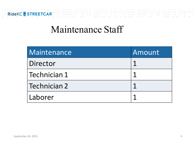

### Maintenance Staff

| Maintenance  | Amount |
|--------------|--------|
| Director     |        |
| Technician 1 |        |
| Technician 2 |        |
| Laborer      |        |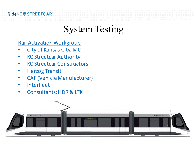#### **RideKC STREE**

# System Testing

**Rail Activation Workgroup** 

- City of Kansas City, MO
- **KC Streetcar Authority**
- KC Streetcar Constructors
- **Herzog Transit**
- CAF (Vehicle Manufacturer)
- Interfleet
- Consultants: HDR & LTK

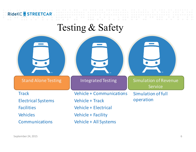

### Testing & Safety

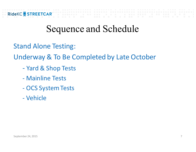**Stand Alone Testing:** 

Underway & To Be Completed by Late October

- Yard & Shop Tests
- Mainline Tests
- OCS System Tests
- Vehicle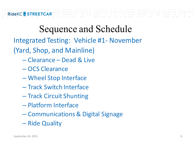Integrated Testing: Vehicle #1- November

(Yard, Shop, and Mainline)

- Clearance Dead & Live
- OCS Clearance
- Wheel Stop Interface
- Track Switch Interface
- Track Circuit Shunting
- Platform Interface
- Communications & Digital Signage
- Ride Quality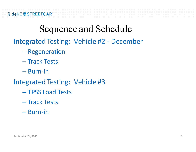Integrated Testing: Vehicle #2 - December

- Regeneration
- Track Tests
- Burn-in
- Integrated Testing: Vehicle #3
	- TPSS Load Tests
	- Track Tests
	- Burn-in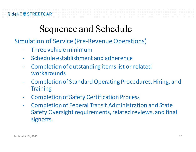Simulation of Service (Pre-Revenue Operations)

- Three vehicle minimum
- Schedule establishment and adherence
- Completion of outstanding items list or related workarounds
- Completion of Standard Operating Procedures, Hiring, and **Training**
- Completion of Safety Certification Process
- Completion of Federal Transit Administration and State Safety Oversight requirements, related reviews, and final signoffs.